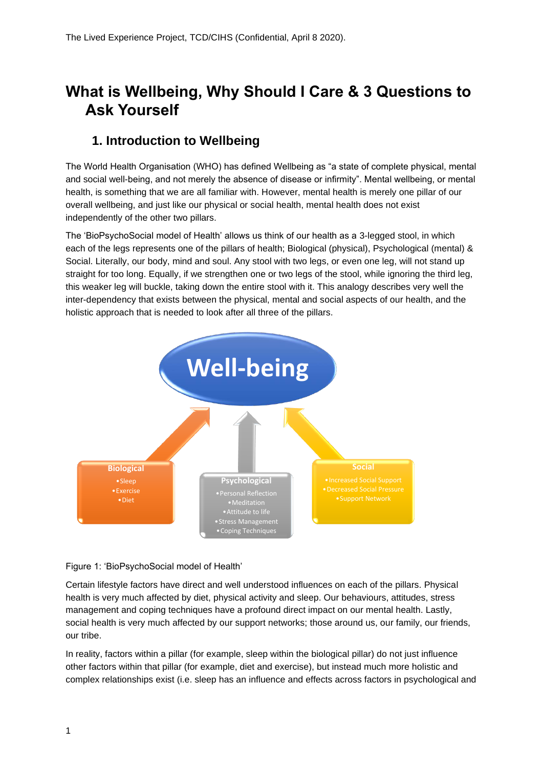# **What is Wellbeing, Why Should I Care & 3 Questions to Ask Yourself**

## **1. Introduction to Wellbeing**

The World Health Organisation (WHO) has defined Wellbeing as "a state of complete physical, mental and social well-being, and not merely the absence of disease or infirmity". Mental wellbeing, or mental health, is something that we are all familiar with. However, mental health is merely one pillar of our overall wellbeing, and just like our physical or social health, mental health does not exist independently of the other two pillars.

The 'BioPsychoSocial model of Health' allows us think of our health as a 3-legged stool, in which each of the legs represents one of the pillars of health; Biological (physical), Psychological (mental) & Social. Literally, our body, mind and soul. Any stool with two legs, or even one leg, will not stand up straight for too long. Equally, if we strengthen one or two legs of the stool, while ignoring the third leg, this weaker leg will buckle, taking down the entire stool with it. This analogy describes very well the inter-dependency that exists between the physical, mental and social aspects of our health, and the holistic approach that is needed to look after all three of the pillars.



Figure 1: 'BioPsychoSocial model of Health'

Certain lifestyle factors have direct and well understood influences on each of the pillars. Physical health is very much affected by diet, physical activity and sleep. Our behaviours, attitudes, stress management and coping techniques have a profound direct impact on our mental health. Lastly, social health is very much affected by our support networks; those around us, our family, our friends, our tribe.

In reality, factors within a pillar (for example, sleep within the biological pillar) do not just influence other factors within that pillar (for example, diet and exercise), but instead much more holistic and complex relationships exist (i.e. sleep has an influence and effects across factors in psychological and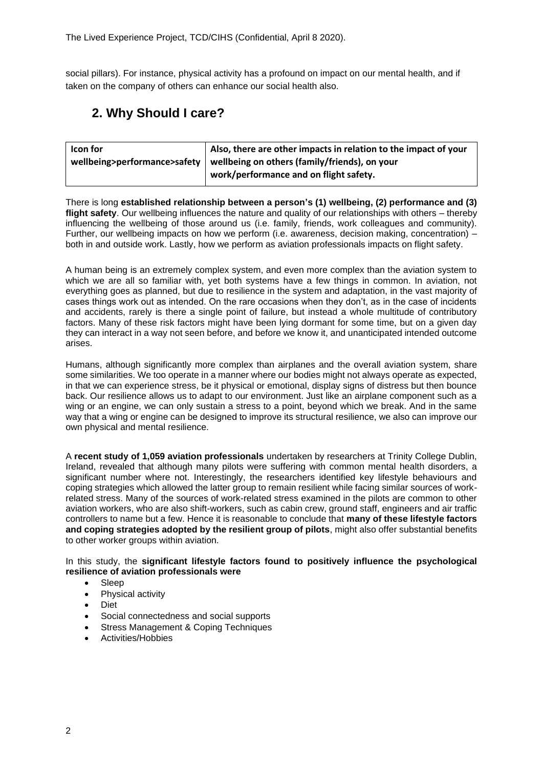social pillars). For instance, physical activity has a profound on impact on our mental health, and if taken on the company of others can enhance our social health also.

# **2. Why Should I care?**

| Icon for | $\vert$ Also, there are other impacts in relation to the impact of your      |
|----------|------------------------------------------------------------------------------|
|          | wellbeing>performance>safety   wellbeing on others (family/friends), on your |
|          | work/performance and on flight safety.                                       |

There is long **established relationship between a person's (1) wellbeing, (2) performance and (3) flight safety**. Our wellbeing influences the nature and quality of our relationships with others – thereby influencing the wellbeing of those around us (i.e. family, friends, work colleagues and community). Further, our wellbeing impacts on how we perform (i.e. awareness, decision making, concentration) – both in and outside work. Lastly, how we perform as aviation professionals impacts on flight safety.

A human being is an extremely complex system, and even more complex than the aviation system to which we are all so familiar with, yet both systems have a few things in common. In aviation, not everything goes as planned, but due to resilience in the system and adaptation, in the vast majority of cases things work out as intended. On the rare occasions when they don't, as in the case of incidents and accidents, rarely is there a single point of failure, but instead a whole multitude of contributory factors. Many of these risk factors might have been lying dormant for some time, but on a given day they can interact in a way not seen before, and before we know it, and unanticipated intended outcome arises.

Humans, although significantly more complex than airplanes and the overall aviation system, share some similarities. We too operate in a manner where our bodies might not always operate as expected, in that we can experience stress, be it physical or emotional, display signs of distress but then bounce back. Our resilience allows us to adapt to our environment. Just like an airplane component such as a wing or an engine, we can only sustain a stress to a point, beyond which we break. And in the same way that a wing or engine can be designed to improve its structural resilience, we also can improve our own physical and mental resilience.

A **recent study of 1,059 aviation professionals** undertaken by researchers at Trinity College Dublin, Ireland, revealed that although many pilots were suffering with common mental health disorders, a significant number where not. Interestingly, the researchers identified key lifestyle behaviours and coping strategies which allowed the latter group to remain resilient while facing similar sources of workrelated stress. Many of the sources of work-related stress examined in the pilots are common to other aviation workers, who are also shift-workers, such as cabin crew, ground staff, engineers and air traffic controllers to name but a few. Hence it is reasonable to conclude that **many of these lifestyle factors and coping strategies adopted by the resilient group of pilots**, might also offer substantial benefits to other worker groups within aviation.

In this study, the **significant lifestyle factors found to positively influence the psychological resilience of aviation professionals were**

- **Sleep**
- Physical activity
- Diet
- Social connectedness and social supports
- Stress Management & Coping Techniques
- Activities/Hobbies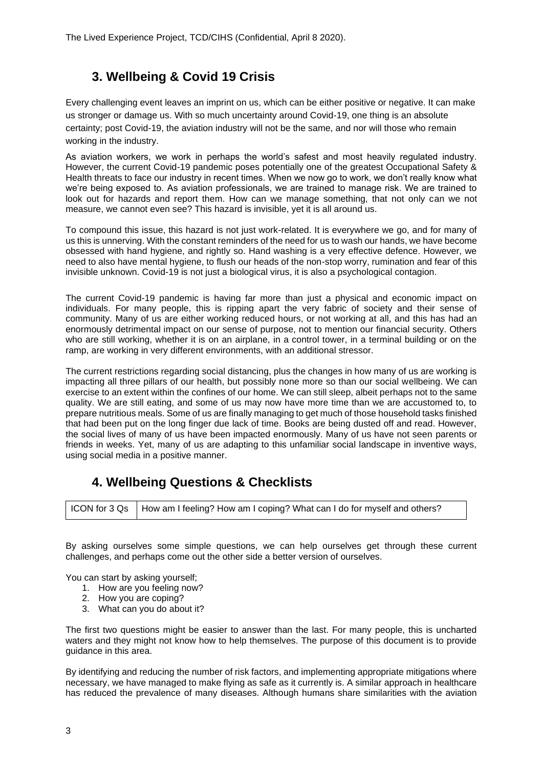## **3. Wellbeing & Covid 19 Crisis**

Every challenging event leaves an imprint on us, which can be either positive or negative. It can make us stronger or damage us. With so much uncertainty around Covid-19, one thing is an absolute certainty; post Covid-19, the aviation industry will not be the same, and nor will those who remain working in the industry.

As aviation workers, we work in perhaps the world's safest and most heavily regulated industry. However, the current Covid-19 pandemic poses potentially one of the greatest Occupational Safety & Health threats to face our industry in recent times. When we now go to work, we don't really know what we're being exposed to. As aviation professionals, we are trained to manage risk. We are trained to look out for hazards and report them. How can we manage something, that not only can we not measure, we cannot even see? This hazard is invisible, yet it is all around us.

To compound this issue, this hazard is not just work-related. It is everywhere we go, and for many of us this is unnerving. With the constant reminders of the need for us to wash our hands, we have become obsessed with hand hygiene, and rightly so. Hand washing is a very effective defence. However, we need to also have mental hygiene, to flush our heads of the non-stop worry, rumination and fear of this invisible unknown. Covid-19 is not just a biological virus, it is also a psychological contagion.

The current Covid-19 pandemic is having far more than just a physical and economic impact on individuals. For many people, this is ripping apart the very fabric of society and their sense of community. Many of us are either working reduced hours, or not working at all, and this has had an enormously detrimental impact on our sense of purpose, not to mention our financial security. Others who are still working, whether it is on an airplane, in a control tower, in a terminal building or on the ramp, are working in very different environments, with an additional stressor.

The current restrictions regarding social distancing, plus the changes in how many of us are working is impacting all three pillars of our health, but possibly none more so than our social wellbeing. We can exercise to an extent within the confines of our home. We can still sleep, albeit perhaps not to the same quality. We are still eating, and some of us may now have more time than we are accustomed to, to prepare nutritious meals. Some of us are finally managing to get much of those household tasks finished that had been put on the long finger due lack of time. Books are being dusted off and read. However, the social lives of many of us have been impacted enormously. Many of us have not seen parents or friends in weeks. Yet, many of us are adapting to this unfamiliar social landscape in inventive ways, using social media in a positive manner.

#### **4. Wellbeing Questions & Checklists**

|  | ICON for 3 Qs   How am I feeling? How am I coping? What can I do for myself and others? |
|--|-----------------------------------------------------------------------------------------|
|--|-----------------------------------------------------------------------------------------|

By asking ourselves some simple questions, we can help ourselves get through these current challenges, and perhaps come out the other side a better version of ourselves.

You can start by asking yourself;

- 1. How are you feeling now?
- 2. How you are coping?
- 3. What can you do about it?

The first two questions might be easier to answer than the last. For many people, this is uncharted waters and they might not know how to help themselves. The purpose of this document is to provide guidance in this area.

By identifying and reducing the number of risk factors, and implementing appropriate mitigations where necessary, we have managed to make flying as safe as it currently is. A similar approach in healthcare has reduced the prevalence of many diseases. Although humans share similarities with the aviation